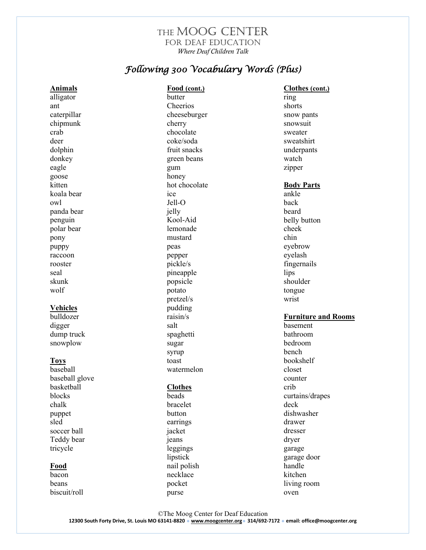## THE MOOG CENTER for Deaf Education *Where Deaf Children Talk*

# *Following 300 Vocabulary Words (Plus)*

| <b>Animals</b>  | Food (cont.)   | Clothes (cont.)            |
|-----------------|----------------|----------------------------|
| alligator       | butter         | ring                       |
| ant             | Cheerios       | shorts                     |
| caterpillar     | cheeseburger   | snow pants                 |
| chipmunk        | cherry         | snowsuit                   |
| crab            | chocolate      | sweater                    |
| deer            | coke/soda      | sweatshirt                 |
| dolphin         | fruit snacks   | underpants                 |
| donkey          | green beans    | watch                      |
| eagle           | gum            | zipper                     |
| goose           | honey          |                            |
| kitten          | hot chocolate  | <b>Body Parts</b>          |
| koala bear      | ice            | ankle                      |
| owl             | Jell-O         | back                       |
| panda bear      | jelly          | beard                      |
| penguin         | Kool-Aid       | belly button               |
| polar bear      | lemonade       | cheek                      |
| pony            | mustard        | chin                       |
| puppy           | peas           | eyebrow                    |
| raccoon         | pepper         | eyelash                    |
| rooster         | pickle/s       | fingernails                |
| seal            | pineapple      | lips                       |
| skunk           | popsicle       | shoulder                   |
| wolf            | potato         | tongue                     |
|                 | pretzel/s      | wrist                      |
| <b>Vehicles</b> | pudding        |                            |
| bulldozer       | raisin/s       | <b>Furniture and Rooms</b> |
| digger          | salt           | basement                   |
| dump truck      | spaghetti      | bathroom                   |
| snowplow        | sugar          | bedroom                    |
|                 | syrup          | bench                      |
| <b>Toys</b>     | toast          | bookshelf                  |
| baseball        | watermelon     | closet                     |
| baseball glove  |                | counter                    |
| basketball      | <b>Clothes</b> | crib                       |
| blocks          | beads          | curtains/drapes            |
| chalk           | bracelet       | deck                       |
| puppet          | button         | dishwasher                 |
| sled            | earrings       | drawer                     |
| soccer ball     | jacket         | dresser                    |
| Teddy bear      | jeans          | dryer                      |
| tricycle        | leggings       | garage                     |
|                 | lipstick       | garage door                |
| <b>Food</b>     | nail polish    | handle                     |
| bacon           | necklace       | kitchen                    |
| beans           | pocket         | living room                |
| biscuit/roll    | purse          | oven                       |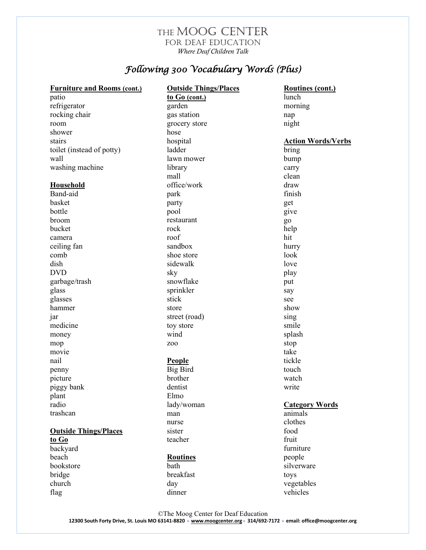## THE MOOG CENTER for Deaf Education *Where Deaf Children Talk*

# *Following 300 Vocabulary Words (Plus)*

| <b>Furniture and Rooms (cont.)</b> | <b>Outside Things/Places</b> | <b>Routines (cont.)</b>   |
|------------------------------------|------------------------------|---------------------------|
| patio                              | to Go (cont.)                | lunch                     |
| refrigerator                       | garden                       | morning                   |
| rocking chair                      | gas station                  | nap                       |
| room                               | grocery store                | night                     |
| shower                             | hose                         |                           |
| stairs                             | hospital                     | <b>Action Words/Verbs</b> |
| toilet (instead of potty)          | ladder                       | bring                     |
| wall                               | lawn mower                   | bump                      |
| washing machine                    | library                      | carry                     |
|                                    | mall                         | clean                     |
| <b>Household</b>                   | office/work                  | draw                      |
| Band-aid                           | park                         | finish                    |
| basket                             | party                        | get                       |
| bottle                             | pool                         | give                      |
| broom                              | restaurant                   | go                        |
| bucket                             | rock                         | help                      |
| camera                             | roof                         | hit                       |
| ceiling fan                        | sandbox                      | hurry                     |
| comb                               | shoe store                   | look                      |
| dish                               | sidewalk                     | love                      |
| <b>DVD</b>                         | sky                          | play                      |
| garbage/trash                      | snowflake                    | put                       |
| glass                              | sprinkler                    | say                       |
| glasses                            | stick                        | see                       |
| hammer                             | store                        | show                      |
| 1ar                                | street (road)                | sing                      |
| medicine                           | toy store                    | smile                     |
| money                              | wind                         | splash                    |
| mop                                | Z <sub>0</sub> 0             | stop                      |
| movie                              |                              | take                      |
| nail                               | People                       | tickle                    |
| penny                              | <b>Big Bird</b>              | touch                     |
| picture                            | brother                      | watch                     |
| piggy bank                         | dentist                      | write                     |
| plant                              | Elmo                         |                           |
| radio                              | lady/woman                   | <b>Category Words</b>     |
| trashcan                           | man                          | animals                   |
|                                    | nurse                        | clothes                   |
| <b>Outside Things/Places</b>       | sister                       | food                      |
| to Go                              | teacher                      | fruit                     |
| backyard                           |                              | furniture                 |
| beach                              | <b>Routines</b>              | people                    |
| bookstore                          | bath                         | silverware                |
| bridge                             | breakfast                    | toys                      |
| church                             | day                          | vegetables                |
| flag                               | dinner                       | vehicles                  |
|                                    |                              |                           |